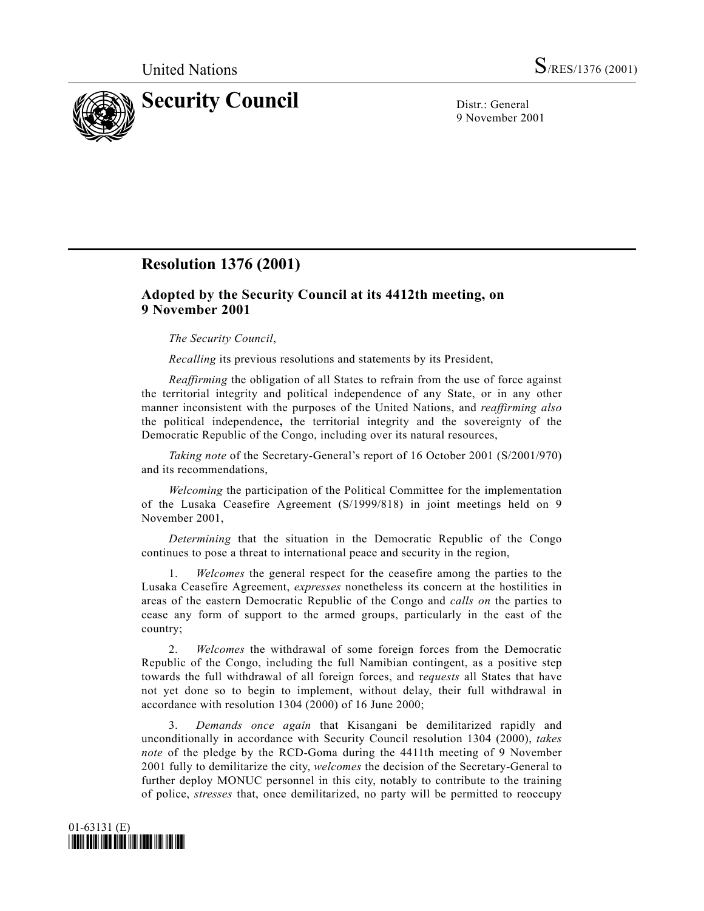

9 November 2001

## **Resolution 1376 (2001)**

## **Adopted by the Security Council at its 4412th meeting, on 9 November 2001**

## *The Security Council*,

*Recalling* its previous resolutions and statements by its President,

*Reaffirming* the obligation of all States to refrain from the use of force against the territorial integrity and political independence of any State, or in any other manner inconsistent with the purposes of the United Nations, and *reaffirming also* the political independence**,** the territorial integrity and the sovereignty of the Democratic Republic of the Congo, including over its natural resources,

*Taking note* of the Secretary-General's report of 16 October 2001 (S/2001/970) and its recommendations,

*Welcoming* the participation of the Political Committee for the implementation of the Lusaka Ceasefire Agreement (S/1999/818) in joint meetings held on 9 November 2001,

*Determining* that the situation in the Democratic Republic of the Congo continues to pose a threat to international peace and security in the region,

*Welcomes* the general respect for the ceasefire among the parties to the Lusaka Ceasefire Agreement, *expresses* nonetheless its concern at the hostilities in areas of the eastern Democratic Republic of the Congo and *calls on* the parties to cease any form of support to the armed groups, particularly in the east of the country;

2. *Welcomes* the withdrawal of some foreign forces from the Democratic Republic of the Congo, including the full Namibian contingent, as a positive step towards the full withdrawal of all foreign forces, and r*equests* all States that have not yet done so to begin to implement, without delay, their full withdrawal in accordance with resolution 1304 (2000) of 16 June 2000;

3. *Demands once again* that Kisangani be demilitarized rapidly and unconditionally in accordance with Security Council resolution 1304 (2000), *takes note* of the pledge by the RCD-Goma during the 4411th meeting of 9 November 2001 fully to demilitarize the city, *welcomes* the decision of the Secretary-General to further deploy MONUC personnel in this city, notably to contribute to the training of police, *stresses* that, once demilitarized, no party will be permitted to reoccupy

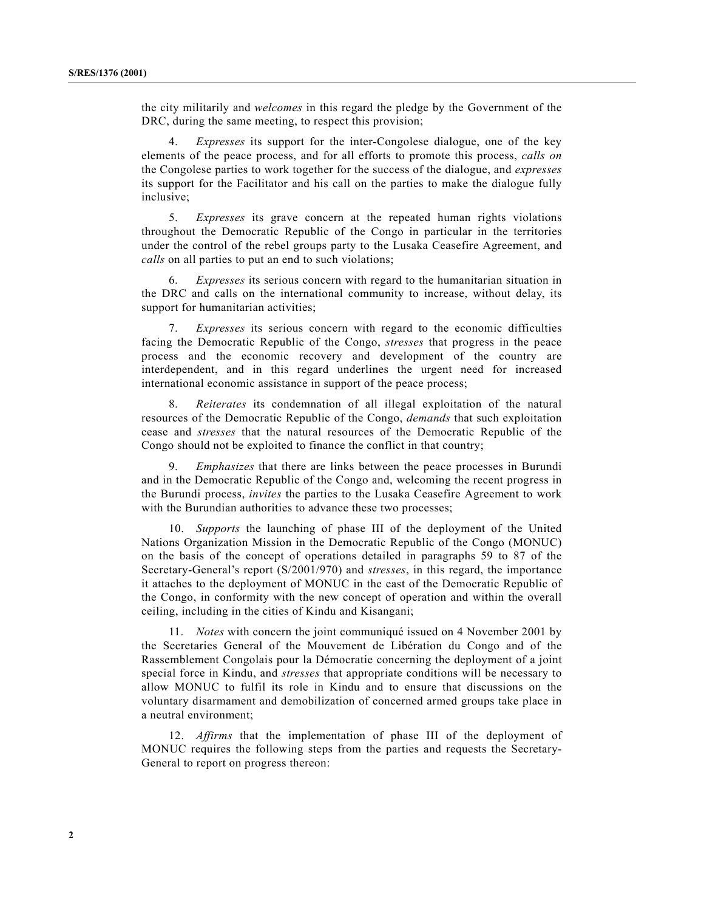the city militarily and *welcomes* in this regard the pledge by the Government of the DRC, during the same meeting, to respect this provision;

*Expresses* its support for the inter-Congolese dialogue, one of the key elements of the peace process, and for all efforts to promote this process, *calls on* the Congolese parties to work together for the success of the dialogue, and *expresses* its support for the Facilitator and his call on the parties to make the dialogue fully inclusive;

5. *Expresses* its grave concern at the repeated human rights violations throughout the Democratic Republic of the Congo in particular in the territories under the control of the rebel groups party to the Lusaka Ceasefire Agreement, and *calls* on all parties to put an end to such violations;

6. *Expresses* its serious concern with regard to the humanitarian situation in the DRC and calls on the international community to increase, without delay, its support for humanitarian activities;

7. *Expresses* its serious concern with regard to the economic difficulties facing the Democratic Republic of the Congo, *stresses* that progress in the peace process and the economic recovery and development of the country are interdependent, and in this regard underlines the urgent need for increased international economic assistance in support of the peace process;

8. *Reiterates* its condemnation of all illegal exploitation of the natural resources of the Democratic Republic of the Congo, *demands* that such exploitation cease and *stresses* that the natural resources of the Democratic Republic of the Congo should not be exploited to finance the conflict in that country;

9. *Emphasizes* that there are links between the peace processes in Burundi and in the Democratic Republic of the Congo and, welcoming the recent progress in the Burundi process, *invites* the parties to the Lusaka Ceasefire Agreement to work with the Burundian authorities to advance these two processes;

10. *Supports* the launching of phase III of the deployment of the United Nations Organization Mission in the Democratic Republic of the Congo (MONUC) on the basis of the concept of operations detailed in paragraphs 59 to 87 of the Secretary-General's report (S/2001/970) and *stresses*, in this regard, the importance it attaches to the deployment of MONUC in the east of the Democratic Republic of the Congo, in conformity with the new concept of operation and within the overall ceiling, including in the cities of Kindu and Kisangani;

11. *Notes* with concern the joint communiqué issued on 4 November 2001 by the Secretaries General of the Mouvement de Libération du Congo and of the Rassemblement Congolais pour la Démocratie concerning the deployment of a joint special force in Kindu, and *stresses* that appropriate conditions will be necessary to allow MONUC to fulfil its role in Kindu and to ensure that discussions on the voluntary disarmament and demobilization of concerned armed groups take place in a neutral environment;

12. *Affirms* that the implementation of phase III of the deployment of MONUC requires the following steps from the parties and requests the Secretary-General to report on progress thereon: